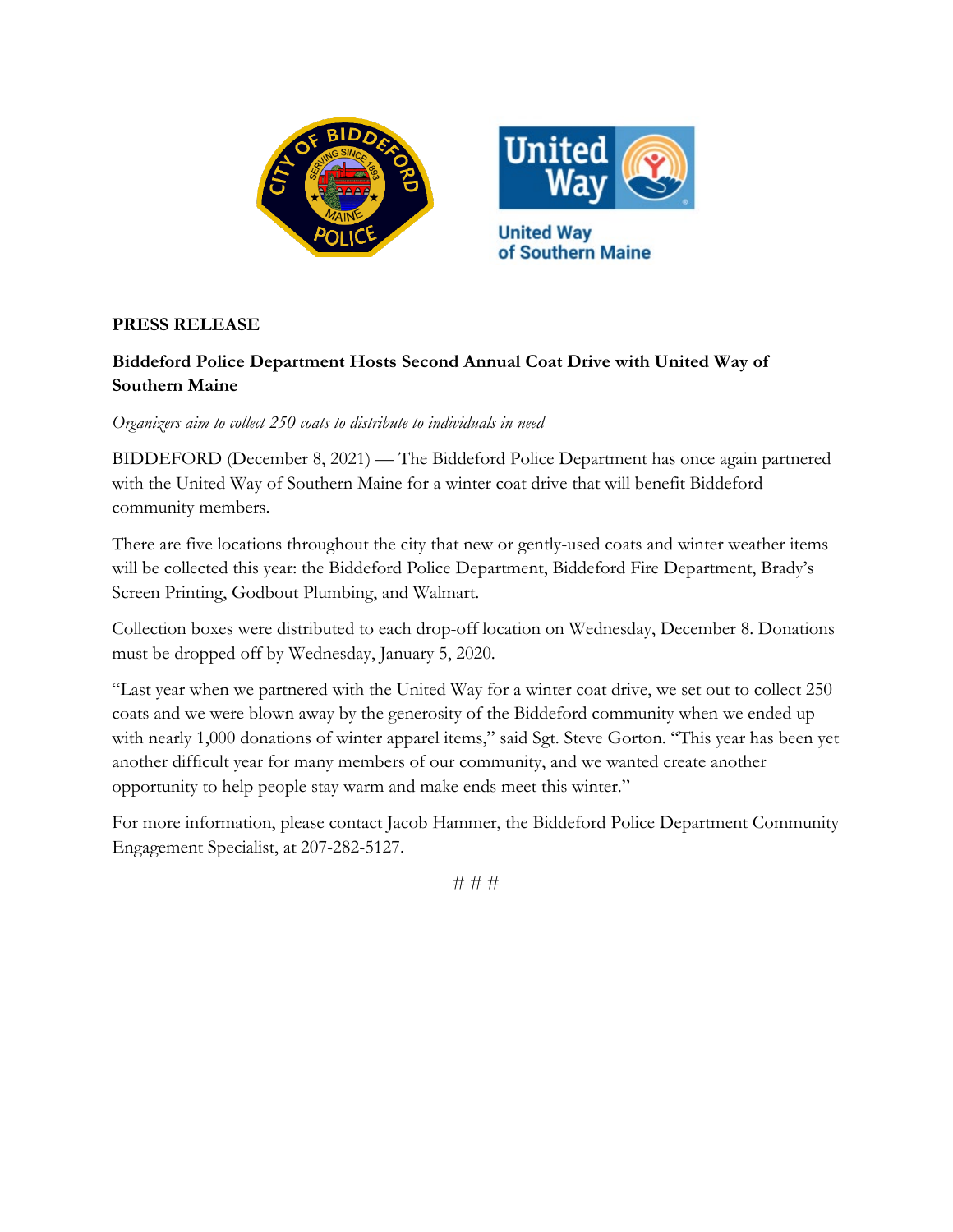



## **PRESS RELEASE**

## **Biddeford Police Department Hosts Second Annual Coat Drive with United Way of Southern Maine**

*Organizers aim to collect 250 coats to distribute to individuals in need*

BIDDEFORD (December 8, 2021) — The Biddeford Police Department has once again partnered with the United Way of Southern Maine for a winter coat drive that will benefit Biddeford community members.

There are five locations throughout the city that new or gently-used coats and winter weather items will be collected this year: the Biddeford Police Department, Biddeford Fire Department, Brady's Screen Printing, Godbout Plumbing, and Walmart.

Collection boxes were distributed to each drop-off location on Wednesday, December 8. Donations must be dropped off by Wednesday, January 5, 2020.

"Last year when we partnered with the United Way for a winter coat drive, we set out to collect 250 coats and we were blown away by the generosity of the Biddeford community when we ended up with nearly 1,000 donations of winter apparel items," said Sgt. Steve Gorton. "This year has been yet another difficult year for many members of our community, and we wanted create another opportunity to help people stay warm and make ends meet this winter."

For more information, please contact Jacob Hammer, the Biddeford Police Department Community Engagement Specialist, at 207-282-5127.

# # #